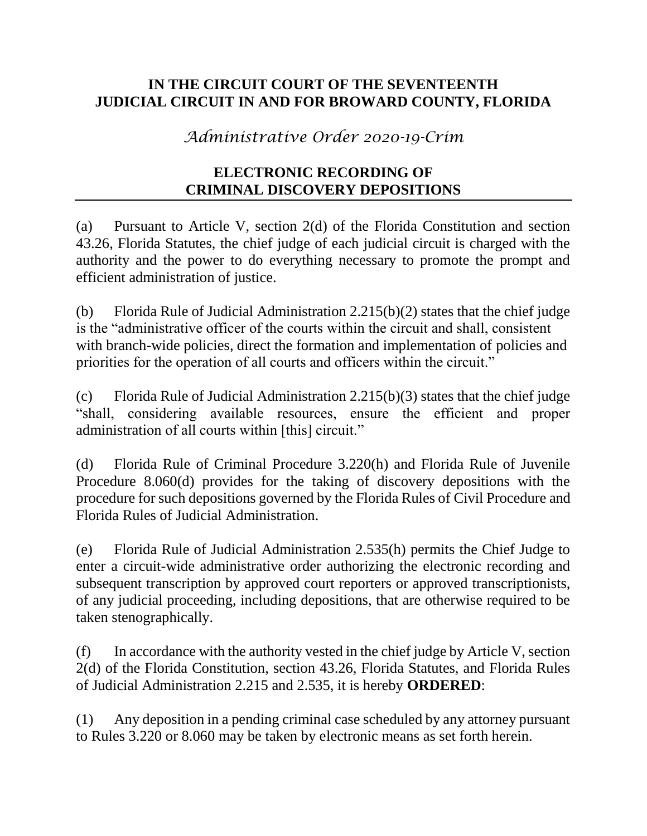## **IN THE CIRCUIT COURT OF THE SEVENTEENTH JUDICIAL CIRCUIT IN AND FOR BROWARD COUNTY, FLORIDA**

*Administrative Order 2020-19-Crim*

## **ELECTRONIC RECORDING OF CRIMINAL DISCOVERY DEPOSITIONS**

(a) Pursuant to Article V, section 2(d) of the Florida Constitution and section 43.26, Florida Statutes, the chief judge of each judicial circuit is charged with the authority and the power to do everything necessary to promote the prompt and efficient administration of justice.

(b) Florida Rule of Judicial Administration 2.215(b)(2) states that the chief judge is the "administrative officer of the courts within the circuit and shall, consistent with branch-wide policies, direct the formation and implementation of policies and priorities for the operation of all courts and officers within the circuit."

(c) Florida Rule of Judicial Administration 2.215(b)(3) states that the chief judge "shall, considering available resources, ensure the efficient and proper administration of all courts within [this] circuit."

(d) Florida Rule of Criminal Procedure 3.220(h) and Florida Rule of Juvenile Procedure 8.060(d) provides for the taking of discovery depositions with the procedure for such depositions governed by the Florida Rules of Civil Procedure and Florida Rules of Judicial Administration.

(e) Florida Rule of Judicial Administration 2.535(h) permits the Chief Judge to enter a circuit-wide administrative order authorizing the electronic recording and subsequent transcription by approved court reporters or approved transcriptionists, of any judicial proceeding, including depositions, that are otherwise required to be taken stenographically.

(f) In accordance with the authority vested in the chief judge by Article V, section 2(d) of the Florida Constitution, section 43.26, Florida Statutes, and Florida Rules of Judicial Administration 2.215 and 2.535, it is hereby **ORDERED**:

(1) Any deposition in a pending criminal case scheduled by any attorney pursuant to Rules 3.220 or 8.060 may be taken by electronic means as set forth herein.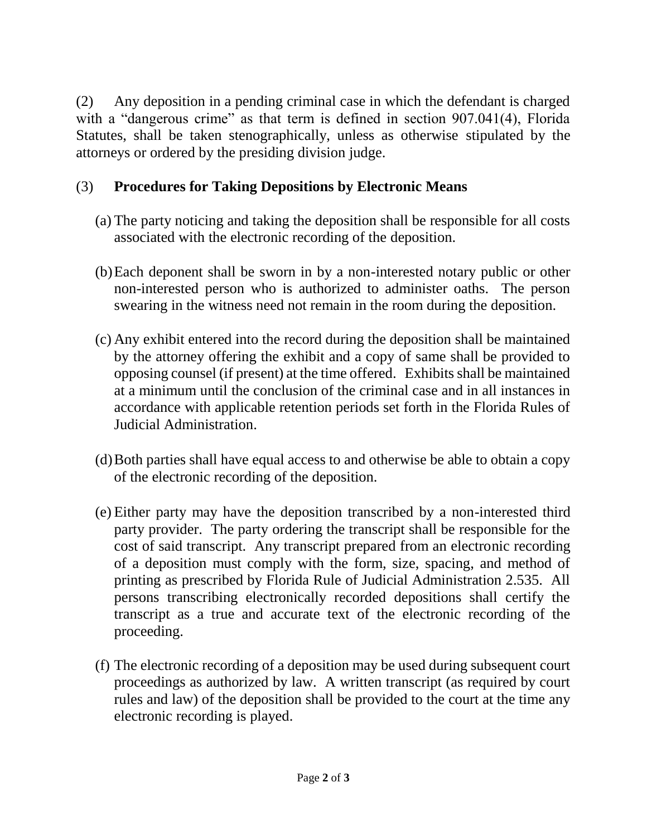(2) Any deposition in a pending criminal case in which the defendant is charged with a "dangerous crime" as that term is defined in section 907.041(4), Florida Statutes, shall be taken stenographically, unless as otherwise stipulated by the attorneys or ordered by the presiding division judge.

## (3) **Procedures for Taking Depositions by Electronic Means**

- (a) The party noticing and taking the deposition shall be responsible for all costs associated with the electronic recording of the deposition.
- (b)Each deponent shall be sworn in by a non-interested notary public or other non-interested person who is authorized to administer oaths. The person swearing in the witness need not remain in the room during the deposition.
- (c) Any exhibit entered into the record during the deposition shall be maintained by the attorney offering the exhibit and a copy of same shall be provided to opposing counsel (if present) at the time offered. Exhibits shall be maintained at a minimum until the conclusion of the criminal case and in all instances in accordance with applicable retention periods set forth in the Florida Rules of Judicial Administration.
- (d)Both parties shall have equal access to and otherwise be able to obtain a copy of the electronic recording of the deposition.
- (e) Either party may have the deposition transcribed by a non-interested third party provider. The party ordering the transcript shall be responsible for the cost of said transcript. Any transcript prepared from an electronic recording of a deposition must comply with the form, size, spacing, and method of printing as prescribed by Florida Rule of Judicial Administration 2.535. All persons transcribing electronically recorded depositions shall certify the transcript as a true and accurate text of the electronic recording of the proceeding.
- (f) The electronic recording of a deposition may be used during subsequent court proceedings as authorized by law. A written transcript (as required by court rules and law) of the deposition shall be provided to the court at the time any electronic recording is played.